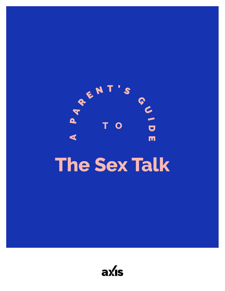

# **The Sex Talk**

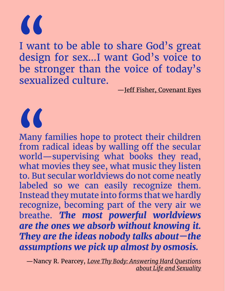$\overline{\mathcal{L}}$ 

 $\alpha$ 

I want to be able to share God's great design for sex…I want God's voice to be stronger than the voice of today's sexualized culture.

—[Jeff Fisher, Covenant Eyes](http://www.covenanteyes.com/2014/04/04/teaching-kids-birds-bees-without-butterflies-book-review/)

Many families hope to protect their children from radical ideas by walling off the secular world—supervising what books they read, what movies they see, what music they listen to. But secular worldviews do not come neatly labeled so we can easily recognize them. Instead they mutate into forms that we hardly recognize, becoming part of the very air we breathe. *The most powerful worldviews are the ones we absorb without knowing it. They are the ideas nobody talks about—the assumptions we pick up almost by osmosis.*

—Nancy R. Pearcey, *[Love Thy Body: Answering Hard Questions](https://smile.amazon.com/Love-Thy-Body-Answering-Questions/dp/0801075726/ref=sr_1_1?ie=UTF8&qid=1526833809&sr=8-1&keywords=Love+Thy+Body%3A+Answering+Hard+Questions+about+Life+and+Sexuality) [about Life and Sexuality](https://smile.amazon.com/Love-Thy-Body-Answering-Questions/dp/0801075726/ref=sr_1_1?ie=UTF8&qid=1526833809&sr=8-1&keywords=Love+Thy+Body%3A+Answering+Hard+Questions+about+Life+and+Sexuality)*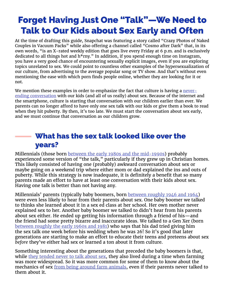## Forget Having Just One "Talk"—We Need to Talk to Our Kids about Sex Early and Often

At the time of drafting this guide, Snapchat was featuring a story called "Crazy Photos of Naked Couples in Vacuum Packs" while also offering a channel called "Cosmo after Dark" that, in its own words, "is an X-rated weekly edition that goes live every Friday at 6 p.m. and is exclusively dedicated to all things hot and h\*rny." In addition, if you spend enough time on Instagram, you have a very good chance of encountering sexually explicit images, even if you are exploring topics unrelated to sex. We could point to countless other examples of the hypersexualization of our culture, from advertising to the average popular song or TV show. And that's without even mentioning the ease with which porn finds people online, whether they are looking for it or not.

We mention these examples in order to emphasize the fact that culture is having a [never](https://evolvetreatment.com/blog/talk-internet-obsessed-teen-sex/)[ending conversation](https://evolvetreatment.com/blog/talk-internet-obsessed-teen-sex/) with our kids (and all of us really) about sex. Because of the internet and the smartphone, culture is starting that conversation with our children earlier than ever. We parents can no longer afford to have only one sex talk with our kids or give them a book to read when they hit puberty. By then, it's too late. We must start the conversation about sex early, and we must continue that conversation as our children grow.

## What has the sex talk looked like over the years?

Millennials (those born [between the early 1980s and the mid-1990s](http://www.pewresearch.org/fact-tank/2018/03/01/defining-generations-where-millennials-end-and-post-millennials-begin/)) probably experienced some version of "the talk," particularly if they grew up in Christian homes. This likely consisted of having one (probably) awkward conversation about sex or maybe going on a weekend trip where either mom or dad explained the ins and outs of puberty. While this strategy is now inadequate, it is definitely a benefit that so many parents made an effort to have at least one conversation with their kids about sex. Having one talk is better than not having any.

Millennials' parents (typically baby boomers, born [between roughly 1946 and 1964](https://www.theatlantic.com/national/archive/2014/03/here-is-when-each-generation-begins-and-ends-according-to-facts/359589/)) were even less likely to hear from their parents about sex. One baby boomer we talked to thinks she learned about it in a sex ed class at her school. Her own mother never explained sex to her. Another baby boomer we talked to didn't hear from his parents about sex either. He ended up getting his information through a friend of his—and the friend had some pretty bizarre and inaccurate ideas. We talked to a Gen Xer (born [between roughly the early 1960s and 1981](https://en.wikipedia.org/wiki/Generation_X)) who says that his dad tried giving him the sex talk one week before his wedding when he was 26! So it's good that later generations are starting to make an effort to educate their teens and preteens about sex *before* they've either had sex or learned a ton about it from culture.

Something interesting about the generations that preceded the baby boomers is that, while [they tended never to talk about sex](https://primemind.com/talking-sex-with-grandma-f8efcb12dedf), they also lived during a time when farming was more widespread. So it was more common for some of them to know about the mechanics of sex [from being around farm animals](https://www.quora.com/How-much-did-our-grandparents-know-about-sex-when-they-were-teenagers), even if their parents never talked to them about it.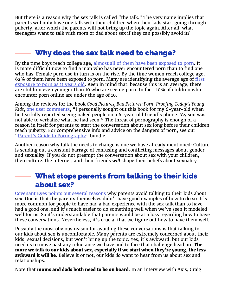But there is a reason why the sex talk is called "the talk." The very name implies that parents will only have one talk with their children when their kids start going through puberty, after which the parents will not bring up the topic again. After all, what teenagers want to talk with mom or dad about sex if they can possibly avoid it?

## Why does the sex talk need to change?

By the time boys reach college age, [almost all of them have been exposed to porn.](http://endsexualexploitation.org/wp-content/uploads/NCOSE_Pornography-PublicHealth_ResearchSummary_8-2_17_FINAL-with-logo.pdf) It is more difficult now to find a man who has never encountered porn than to find one who has. Female porn use in turn is on the rise. By the time women reach college age, 62% of them have been exposed to porn. Many are identifying the average age of [first](https://www.netnanny.com/blog/the-detrimental-effects-of-pornography-on-small-children/)  [exposure to porn as 11 years old](https://www.netnanny.com/blog/the-detrimental-effects-of-pornography-on-small-children/). Keep in mind that, because this is an average, there are children even younger than 10 who are seeing porn. In fact, 10% of children who encounter porn online are under the age of 10.

Among the reviews for the book *Good Pictures, Bad Pictures: Porn-Proofing Today's Young*  Kids, [one user comments](https://www.amazon.com/Good-Pictures-Bad-Porn-Proofing-Todays/dp/0615927335/ref=sr_1_1), "I personally sought out this book for my 6-year-old when he tearfully reported seeing naked people on a 6-year-old friend's phone. My son was not able to verbalize what he had seen." The threat of pornography is enough of a reason in itself for parents to start the conversation about sex long before their children reach puberty. For comprehensive info and advice on the dangers of porn, see our "[Parent's Guide to Pornography](http://axis.org/guides)" bundle.

Another reason why talk the needs to change is one we have already mentioned: Culture is sending out a constant barrage of confusing and conflicting messages about gender and sexuality. If you do not preempt the conversation about sex with your children, then culture, the internet, and their friends *will* shape their beliefs about sexuality.

## What stops parents from talking to their kids about sex?

[Covenant Eyes points out several reasons](http://www.covenanteyes.com/2015/07/25/10-reasons-parents-dont-talk-to-children-about-sex-and-porn/) why parents avoid talking to their kids about sex. One is that the parents themselves didn't have good examples of how to do so. It's more common for people to have had a bad experience with the sex talk than to have had a good one, and it<sup> $\bar{z}$ </sup> much easier to do something well when we've seen it modeled well for us. So it's understandable that parents would be at a loss regarding how to have these conversations. Nevertheless, it's crucial that we figure out how to have them well.

Possibly the most obvious reason for avoiding these conversations is that talking to our kids about sex is uncomfortable. Many parents are extremely concerned about their kids' sexual decisions, but won't bring up the topic. Yes, it's awkward, but our kids need us to move past any reluctance we have and to face that challenge head on. **The** more we talk to our kids about sex, especially if we start when they're young, the less awkward it will be. Believe it or not, our kids *do* want to hear from us about sex and relationships.

Note that **moms and dads both need to be on board**. In an interview with Axis, Craig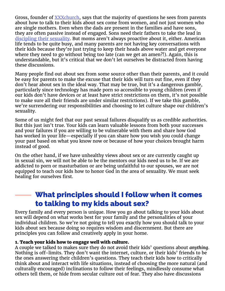Gross, founder of **XXXchurch**, says that the majority of questions he sees from parents about how to talk to their kids about sex come from women, and not just women who are single mothers. Even when the dads are present in the families and have sons, they are often passive instead of engaged. Sons need their fathers to take the lead in [discipling their sexuality](https://www.authenticintimacy.com/resources/2641/the-importance-of-sexual-discipleship). But moms aren't always proactive about it, either. American life tends to be quite busy, and many parents are not having key conversations with their kids because they're just trying to keep their heads above water and get everyone where they need to go without being too late (can we get an amen?!). Again, this is understandable, but it's critical that we don't let ourselves be distracted from having these discussions.

Many people find out about sex from some source other than their parents, and it could be easy for parents to make the excuse that their kids will turn out fine, even if they don't hear about sex in the ideal way. That may be true, but it's a dangerous gamble, particularly since technology has made porn so accessible to young children (even if our kids don't have devices or at least have strict restrictions on them, it's not possible to make sure all their friends are under similar restrictions). If we take this gamble, we're surrendering our responsibilities and choosing to let culture shape our children's sexuality.

Some of us might feel that our past sexual failures disqualify us as credible authorities. But this just isn't true. Your kids can learn valuable lessons from both your successes and your failures if you are willing to be vulnerable with them and share how God has worked in your life—especially if you can share how you wish you could change your past based on what you know now or because of how your choices brought harm instead of good.

On the other hand, if we have unhealthy views about sex or are currently caught up in sexual sin, we will not be able to be the mentors our kids need us to be. If we are addicted to porn or masturbation or are being unfaithful to our spouses, we are not equipped to teach our kids how to honor God in the area of sexuality. We must seek healing for ourselves first.

## What principles should I follow when it comes to talking to my kids about sex?

Every family and every person is unique. How you go about talking to your kids about sex will depend on what works best for your family and the personalities of your individual children. So we're not going to tell you exactly how you should talk to your kids about sex because doing so requires wisdom and discernment. But there are principles you can follow and creatively apply in your home.

#### 1. Teach your kids how to engage well with culture.

A couple we talked to makes sure they do not avoid their kids' questions about *anything*. Nothing is off-limits. They don't want the internet, culture, or their kids' friends to be the ones answering their children's questions. They teach their kids how to critically think about and interact with life situations, instead of choosing the more natural (and culturally encouraged) inclinations to follow their feelings, mindlessly consume what others tell them, or hide from secular culture out of fear. They also have discussions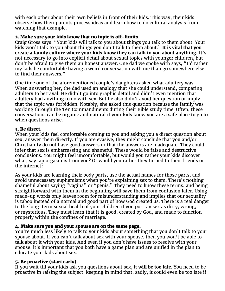with each other about their own beliefs in front of their kids. This way, their kids observe how their parents process ideas and learn how to do cultural analysis from watching that example.

#### 2. Make sure your kids know that no topic is off-limits.

Craig Gross says, "Your kids will talk to you about things you talk to them about. Your kids won't talk to you about things you don't talk to them about." **It is vital that you create a family culture where your kids know they can talk to you about anything.** It's not necessary to go into explicit detail about sexual topics with younger children, but don't be afraid to give them an honest answer. One dad we spoke with says, "I'd rather my kids be comfortable having a weird conversation with me than go somewhere else to find their answers."

One time one of the aforementioned couple's daughters asked what adultery was. When answering her, the dad used an analogy that she could understand, comparing adultery to betrayal. He didn't go into graphic detail and didn't even mention that adultery had anything to do with sex. But he also didn't avoid her question or imply that the topic was forbidden. Notably, she asked this question because the family was working through the Ten Commandments during their Bible study time. Often, these conversations can be organic and natural if your kids know you are a safe place to go to when questions arise.

#### 3. Be direct.

When your kids feel comfortable coming to you and asking you a direct question about sex, answer them directly. If you are evasive, they might conclude that you and/or Christianity do not have good answers or that the answers are inadequate. They could infer that sex is embarrassing and shameful. These would be false and destructive conclusions. You might feel uncomfortable, but would you rather your kids discover what, say, an orgasm is from you? Or would you rather they turned to their friends or the internet?

As your kids are learning their body parts, use the actual names for those parts, and avoid unnecessary euphemisms when you're explaining sex to them. There's nothing shameful about saying "vagina" or "penis." They need to know these terms, and being straightforward with them in the beginning will save them from confusion later. Using made-up words only leaves room for misunderstanding and implies that our sexuality is taboo instead of a normal and good part of how God created us. There is a real danger to the long-term sexual health of your children if you portray sex as dirty, wrong, or mysterious. They must learn that it is good, created by God, and made to function properly within the confines of marriage.

#### 4. Make sure you and your spouse are on the same page.

You're much less likely to talk to your kids about something that you don't talk to your spouse about. If you can't talk about sex with your spouse, then you won't be able to talk about it with your kids. And even if you don't have issues to resolve with your spouse, it's important that you both have a game plan and are unified in the plan to educate your kids about sex.

#### 5. Be proactive (start early).

If you wait till your kids ask you questions about sex, **it will be too late**. You need to be proactive in raising the subject, keeping in mind that, sadly, it could even be too late if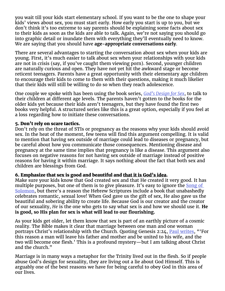you wait till your kids start elementary school. If you want to be the one to shape your kids' views about sex, you must start early. How early you start is up to you, but we don't think it's too extreme to say parents should be explaining some facts about sex to their kids as soon as the kids are able to talk. Again, we're not saying you should go into graphic detail or inundate them with everything they'll eventually need to know. We are saying that you should have **age-appropriate conversations early**.

There are several advantages to starting the conversation about sex when your kids are young. First, it's much easier to talk about sex when your relationships with your kids are not in crisis (say, if you've caught them viewing porn). Second, younger children are naturally curious and open. They have not yet hit the awkward stage or become reticent teenagers. Parents have a great opportunity with their elementary age children to encourage their kids to come to them with their questions, making it much likelier that their kids will still be willing to do so when they reach adolescence.

One couple we spoke with has been using the book series, *[God's Design for Sex](https://www.amazon.com/Full-Set-Design-Revised-Paperback/dp/B00O5DIVTU)*, to talk to their children at different age levels. The parents haven't gotten to the books for the older kids yet because their kids aren't teenagers, but they have found the first two books very helpful. A structured series like this is a great option, especially if you feel at a loss regarding how to initiate these conversations.

#### 5. Don't rely on scare tactics.

Don't rely on the threat of STIs or pregnancy as the reasons why your kids should avoid sex. In the heat of the moment, few teens will find this argument compelling. It is valid to mention that having sex outside of marriage could lead to diseases or pregnancy, but be careful about how you communicate those consequences. Mentioning disease and pregnancy at the same time implies that pregnancy is like a disease. This argument also focuses on negative reasons for not having sex outside of marriage instead of positive reasons for having it within marriage. It says nothing about the fact that both sex and children are blessings from God.

#### 6. Emphasize that sex is good and beautiful and that it is God's idea.

Make sure your kids know that God created sex and that He created it very good. It has multiple purposes, but one of them is to give pleasure. It's easy to ignore the **Song of** [Solomon,](https://www.biblegateway.com/passage/?search=Song+of+Songs+1&version=NIV) but there's a reason the Hebrew Scriptures include a book that unabashedly celebrates romantic, sexual love! When God gave us the gift of sex, He also gave us the beautiful and sobering ability to create life. Because God is our creator and the creator of our sexuality, *He* is the one who gets to say what sex is and how we should use it. **He is good, so His plan for sex is what will lead to our flourishing.**

As your kids get older, let them know that sex is part of an earthly picture of a cosmic reality. The Bible makes it clear that marriage between one man and one woman portrays Christ's relationship with the Church. Quoting Genesis 2:24, [Paul writes](https://www.biblegateway.com/passage/?search=Ephesians+5&version=NIV), "'For this reason a man will leave his father and mother and be united to his wife, and the two will become one flesh.' This is a profound mystery—but I am talking about Christ and the church."

Marriage is in many ways a metaphor for the Trinity lived out in the flesh. So if people abuse God's design for sexuality, they are living out a lie about God Himself. This is arguably one of the best reasons we have for being careful to obey God in this area of our lives.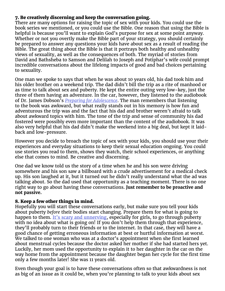#### 7. Be creatively discerning and keep the conversation going.

There are many options for raising the topic of sex with your kids. You could use the book series we mentioned, or you could use the Bible. One reason that using the Bible is helpful is because you'll want to explain God's purpose for sex at some point anyway. Whether or not you overtly make the Bible part of your strategy, you should certainly be prepared to answer any questions your kids have about sex as a result of reading the Bible. The great thing about the Bible is that it portrays both healthy and unhealthy views of sexuality, as well as the consequences of both. The myriad of stories from David and Bathsheba to Samson and Delilah to Joseph and Potiphar's wife could prompt incredible conversations about the lifelong impacts of good and bad choices pertaining to sexuality.

One man we spoke to says that when he was about 10 years old, his dad took him and his older brother on a weekend trip. The dad didn't bill the trip as a rite of manhood or as time to talk about sex and puberty. He kept the entire outing very low-key, just the three of them having an adventure. In the car, however, they listened to the audiobook of Dr. James Dobson's *[Preparing for Adolescence](https://smile.amazon.com/Preparing-Adolescence-Survive-Coming-Change/dp/0800726286/ref=sr_1_1?ie=UTF8&qid=1527262078&sr=8-1&keywords=dobson+preparing+for+adolescence)*. The man remembers that listening to the book was awkward, but what really stands out in his memory is how fun and adventurous the trip was and the fact that his dad and brother weren't afraid to talk about awkward topics with him. The tone of the trip and sense of community his dad fostered were possibly even more important than the content of the audiobook. It was also very helpful that his dad didn't make the weekend into a big deal, but kept it laidback and low-pressure.

However you decide to broach the topic of sex with your kids, you should use your their experiences and everyday situations to keep their sexual education ongoing. You could use stories you read to them, shows they watch, their school experiences, or anything else that comes to mind. Be creative and discerning.

One dad we know told us the story of a time when he and his son were driving somewhere and his son saw a billboard with a crude advertisement for a medical check up. His son laughed at it, but it turned out he didn't really understand what the ad was talking about. So the dad used that opportunity as a teaching moment. There is no one right way to go about having these conversations. **Just remember to be proactive and not passive.**

#### 8. Keep a few other things in mind.

Hopefully you will start these conversations early, but make sure you tell your kids about puberty *before* their bodies start changing. Prepare them for what is going to happen to them. [It's scary and unnerving](https://www.washingtonpost.com/lifestyle/on-parenting/how-to-talk-to-kids-about-sex/2017/08/29/2c994fce-77c5-11e7-8839-ec48ec4cae25_story.html?utm_term=.de1f7d47d9cc), especially for girls, to go through puberty with no idea about what is going on! If you don't help them through that experience, they'll probably turn to their friends or to the internet. In that case, they will have a good chance of getting erroneous information at best or hurtful information at worst. We talked to one woman who was at a doctor's appointment when she first learned about menstrual cycles because the doctor asked her mother if she had started hers yet. Luckily, her mom used the opportunity to explain it to her daughter in the car on the way home from the appointment because the daughter began her cycle for the first time only a few months later! She was 11 years old.

Even though your goal is to have these conversations often so that awkwardness is not as big of an issue as it could be, when you're planning to talk to your kids about sex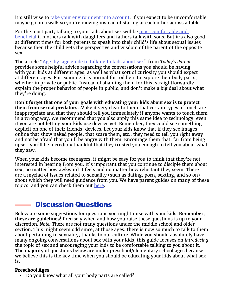it's still wise to <u>take your environment into account</u>. If you expect to be uncomfortable, maybe go on a walk so you're moving instead of staring at each other across a table.

For the most part, talking to your kids about sex will be <u>most comfortable and</u> [beneficial](https://www.focusonthefamily.com/parenting/schoolage-children/talking-about-sex-and-puberty/preparing-for-puberty) if mothers talk with daughters and fathers talk with sons. But it's also good at different times for both parents to speak into their child's life about sexual issues because then the child gets the perspective and wisdom of the parent of the opposite sex.

The article ["Age-by-age guide to talking to kids about sex"](https://www.todaysparent.com/family/parenting/age-by-age-guide-to-talking-to-kids-about-sex/) from *Today's Parent* provides some helpful advice regarding the conversations you should be having with your kids at different ages, as well as what sort of curiosity you should expect at different ages. For example, it's normal for toddlers to explore their body parts, whether in private or public. Instead of shaming them for this, straightforwardly explain the proper behavior of people in public, and don't make a big deal about what they're doing.

**Don't forget that one of your goals with educating your kids about sex is to protect them from sexual predators.** Make it very clear to them that certain types of touch are inappropriate and that they should tell you immediately if anyone wants to touch them in a wrong way. We recommend that you also apply this same idea to technology, even if you are not letting your kids use devices yet. Remember, they could see something explicit on one of their friends' devices. Let your kids know that if they see images online that show naked people, that scare them, etc., they need to tell you right away and not be afraid that you'll be angry with them. Encourage them that, far from being upset, you'll be incredibly thankful that they trusted you enough to tell you about what they saw.

When your kids become teenagers, it might be easy for you to think that they're not interested in hearing from you. It's important that you continue to disciple them about sex, no matter how awkward it feels and no matter how reluctant they seem. There are a myriad of issues related to sexuality (such as dating, porn, sexting, and so on) about which they will need guidance from you. We have parent guides on many of these topics, and you can check them out [here.](https://axis.org/guides)

## Discussion Questions

Below are some suggestions for questions you might raise with your kids. **Remember, these are guidelines!** Precisely when and how you raise these questions is up to your discretion. *Note:* There are not many questions under the middle school and older section. This might seem odd since, at those ages, there is now so much to talk to them about pertaining to sexuality, thanks to our culture. While you should absolutely have many ongoing conversations about sex with your kids, this guide focuses on *introducing* the topic of sex and encouraging your kids to be comfortable talking to you about it. The majority of questions below are under preschool/elementary school ages because we believe this is the key time when you should be educating your kids about what sex is.

#### Preschool Ages

• Do you know what all your body parts are called?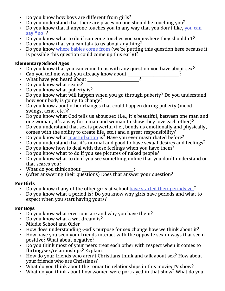- Do you know how boys are different from girls?
- Do you understand that there are places no one should be touching you?
- Do you know that if anyone touches you in any way that you don't like, you can [say "no"](https://www.familyeducation.com/life/talking-about-sex/age-age-guide-teaching-kids-about-birds-bees)?
- Do you know what to do if someone touches you somewhere they shouldn't?
- Do you know that you can talk to us about anything?
- Do you know [where babies come from](https://familydoctor.org/talking-kids-sex/) (we're putting this question here because it is possible this question could come up this early)?

#### Elementary School Ages

- Do you know that you can come to us with any question you have about sex?
- Can you tell me what you already know about  $\frac{1}{\sqrt{2}}$ <br>What have you heard about
- What have you heard about
- Do you know what sex is?
- Do you know what puberty is?
- Do you know what will happen when you go through puberty? Do you understand how your body is going to change?
- Do you know about other changes that could happen during puberty (mood swings, acne, etc.)?
- Do you know what God tells us about sex (i.e., it's beautiful, between one man and one woman, it's a way for a man and woman to show they love each other)?
- Do you understand that sex is powerful (i.e., bonds us emotionally and physically, comes with the ability to create life, etc.) and a great responsibility?
- Do you know what [masturbation](https://www.focusonthefamily.com/parenting/schoolage-children/talking-about-sex-and-puberty/preparing-for-puberty) is? Have you ever masturbated before?
- Do you understand that it's normal and good to have sexual desires and feelings?
- Do you know how to deal with those feelings when you have them?
- Do you know what to do if you see pictures of naked people?
- Do you know what to do if you see something online that you don't understand or that scares you?
- What do you think about
- (After answering their questions) Does that answer your question?

#### For Girls

- Do you know if any of the other girls at school [have started their periods yet?](https://consumer.healthday.com/encyclopedia/children-s-health-10/child-development-news-124/how-to-talk-to-your-child-about-sex-ages-6-to-12-645918.html)
- Do you know what a period is? Do you know why girls have periods and what to expect when you start having yours?

#### For Boys

- Do you know what erections are and why you have them?
- Do you know what a wet dream is?
- Middle School and Older
- How does understanding God's purpose for sex change how we think about it?
- How have you seen your friends interact with the opposite sex in ways that seem positive? What about negative?
- Do you think most of your peers treat each other with respect when it comes to flirting/sex/relationships? Explain.
- How do your friends who aren't Christians think and talk about sex? How about your friends who are Christians?
- What do you think about the romantic relationships in this movie/TV show?
- What do you think about how women were portrayed in that show? What do you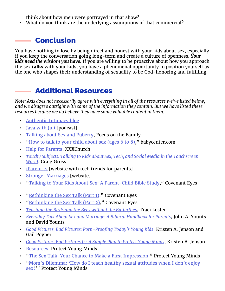think about how men were portrayed in that show?

• What do you think are the underlying assumptions of that commercial?

### Conclusion

You have nothing to lose by being direct and honest with your kids about sex, especially if you keep the conversation going long-term and create a culture of openness. *Your kids need the wisdom you have*. If you are willing to be proactive about how you approach the sex **talks** with your kids, you have a phenomenal opportunity to position yourself as the one who shapes their understanding of sexuality to be God-honoring and fulfilling.

## **Additional Resources**

*Note: Axis does not necessarily agree with everything in all of the resources we've listed below, and we disagree outright with some of the information they contain. But we have listed these resources because we do believe they have some valuable content in them.*

- [Authentic Intimacy blog](https://www.authenticintimacy.com/blog)
- **[Java with Juli](https://www.authenticintimacy.com/podcast) [podcast]**
- [Talking about Sex and Puberty](https://www.focusonthefamily.com/parenting/schoolage-children/talking-about-sex-and-puberty/talking-about-sex-and-puberty), Focus on the Family
- "[How to talk to your child about sex \(ages 6 to 8\),](https://www.babycenter.com/0_how-to-talk-to-your-child-about-sex-ages-6-to-8_67908.bc)" babycenter.com
- [Help for Parents](https://www.xxxchurch.com/get-help/porn-addiction-help-for-parents), XXXChurch
- *• [Touchy Subjects: Talking to Kids about Sex, Tech, and Social Media in the Touchscreen](https://www.amazon.com/Touchy-Subjects-Talking-Social-Touchscreen/dp/1497352002/ref=asap_bc)  [World](https://www.amazon.com/Touchy-Subjects-Talking-Social-Touchscreen/dp/1497352002/ref=asap_bc)*, Craig Gross
- [iParent.tv](http://iparent.tv) [website with tech trends for parents]
- [Stronger Marriages](https://strongermarriages.com) [website]
- "[Talking to Your Kids About Sex: A Parent-Child Bible Study](http://www.covenanteyes.com/2014/04/14/talking-about-sex-bible-study/)," Covenant Eyes
- "[Rethinking the Sex Talk \(Part 1\)](http://www.covenanteyes.com/2012/06/26/rethinking-the-sex-talk-part-1/)," Covenant Eyes
- "[Rethinking the Sex Talk \(Part 2\)](http://www.covenanteyes.com/2012/07/19/rethinking-the-sex-talk-part-2/)," Covenant Eyes
- *• [Teaching the Birds and the Bees without the Butterflies](https://www.amazon.com/Teaching-Birds-Bees-without-Butterflies/dp/0692329307)*, Traci Lester
- *• [Everyday Talk About Sex and Marriage: A Biblical Handbook for Parents](https://www.amazon.com/Everyday-Talk-About-Sex-Marriage/dp/1633420876)*, John A. Younts and David Younts
- *• [Good Pictures, Bad Pictures: Porn-Proofing Today's Young Kids](https://www.amazon.com/Good-Pictures-Bad-Porn-Proofing-Todays/dp/0615927335/ref=sr_1_1)*, Kristen A. Jenson and Gail Poyner
- *• [Good Pictures, Bad Pictures Jr.: A Simple Plan to Protect Young Minds](https://www.amazon.com/Good-Pictures-Bad-Jr-Protect/dp/0997318724/ref=sr_1_2)*, Kristen A. Jenson
- [Resources](https://protectyoungminds.org/resources/), Protect Young Minds
- "[The Sex Talk: Your Chance to Make a First Impression,](https://protectyoungminds.org/2012/08/17/the-sex-talk-your-chance-to-make-a-first-impression/)" Protect Young Minds
- "[Mom's Dilemma: 'How do I teach healthy sexual attitudes when I don't enjoy](https://protectyoungminds.org/2018/02/20/moms-dilemma-teach-healthy-sexual-attitudes-dont-enjoy-sex/)  [sex?](https://protectyoungminds.org/2018/02/20/moms-dilemma-teach-healthy-sexual-attitudes-dont-enjoy-sex/)"" Protect Young Minds